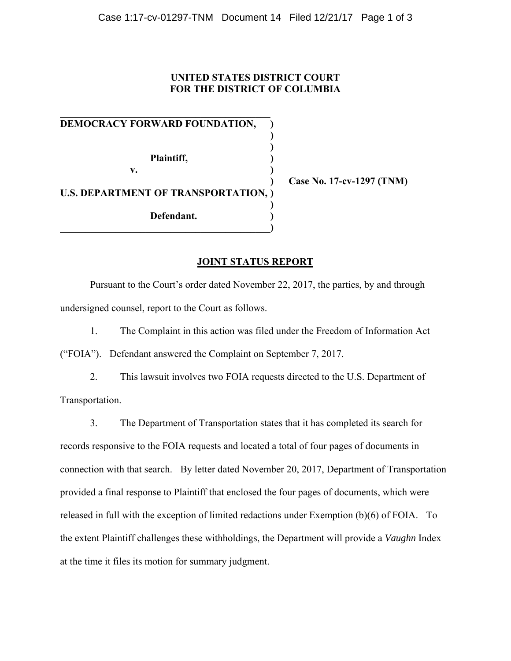## **UNITED STATES DISTRICT COURT FOR THE DISTRICT OF COLUMBIA**

**DEMOCRACY FORWARD FOUNDATION, ) ) )**  Plaintiff, (1)  **v. ) U.S. DEPARTMENT OF TRANSPORTATION, ) ) Defendant. ) \_\_\_\_\_\_\_\_\_\_\_\_\_\_\_\_\_\_\_\_\_\_\_\_\_\_\_\_\_\_\_\_\_\_\_\_\_\_\_\_\_\_)**

**\_\_\_\_\_\_\_\_\_\_\_\_\_\_\_\_\_\_\_\_\_\_\_\_\_\_\_\_\_\_\_\_\_\_\_\_\_\_\_\_\_\_**

 **) Case No. 17-cv-1297 (TNM)** 

## **JOINT STATUS REPORT**

Pursuant to the Court's order dated November 22, 2017, the parties, by and through undersigned counsel, report to the Court as follows.

1. The Complaint in this action was filed under the Freedom of Information Act

("FOIA"). Defendant answered the Complaint on September 7, 2017.

2. This lawsuit involves two FOIA requests directed to the U.S. Department of Transportation.

3. The Department of Transportation states that it has completed its search for records responsive to the FOIA requests and located a total of four pages of documents in connection with that search. By letter dated November 20, 2017, Department of Transportation provided a final response to Plaintiff that enclosed the four pages of documents, which were released in full with the exception of limited redactions under Exemption (b)(6) of FOIA. To the extent Plaintiff challenges these withholdings, the Department will provide a *Vaughn* Index at the time it files its motion for summary judgment.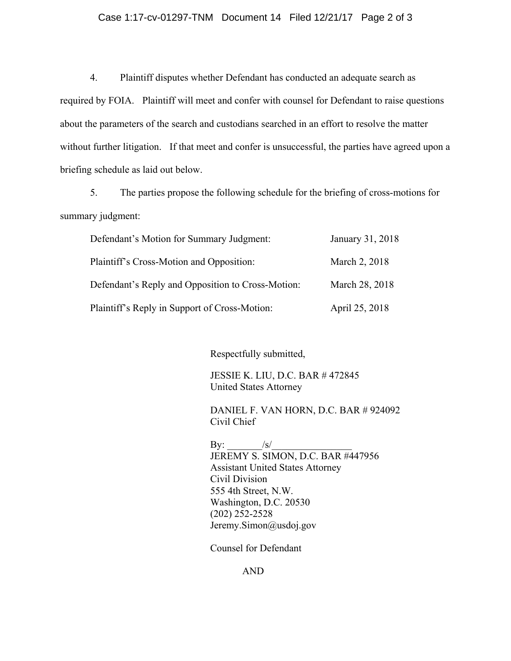## Case 1:17-cv-01297-TNM Document 14 Filed 12/21/17 Page 2 of 3

4. Plaintiff disputes whether Defendant has conducted an adequate search as required by FOIA. Plaintiff will meet and confer with counsel for Defendant to raise questions about the parameters of the search and custodians searched in an effort to resolve the matter without further litigation. If that meet and confer is unsuccessful, the parties have agreed upon a briefing schedule as laid out below.

5. The parties propose the following schedule for the briefing of cross-motions for summary judgment:

| Defendant's Motion for Summary Judgment:          | January 31, 2018 |
|---------------------------------------------------|------------------|
| Plaintiff's Cross-Motion and Opposition:          | March 2, 2018    |
| Defendant's Reply and Opposition to Cross-Motion: | March 28, 2018   |
| Plaintiff's Reply in Support of Cross-Motion:     | April 25, 2018   |

Respectfully submitted,

JESSIE K. LIU, D.C. BAR # 472845 United States Attorney

DANIEL F. VAN HORN, D.C. BAR # 924092 Civil Chief

By:  $/s/$ JEREMY S. SIMON, D.C. BAR #447956 Assistant United States Attorney Civil Division 555 4th Street, N.W. Washington, D.C. 20530 (202) 252-2528 Jeremy.Simon@usdoj.gov

Counsel for Defendant

AND